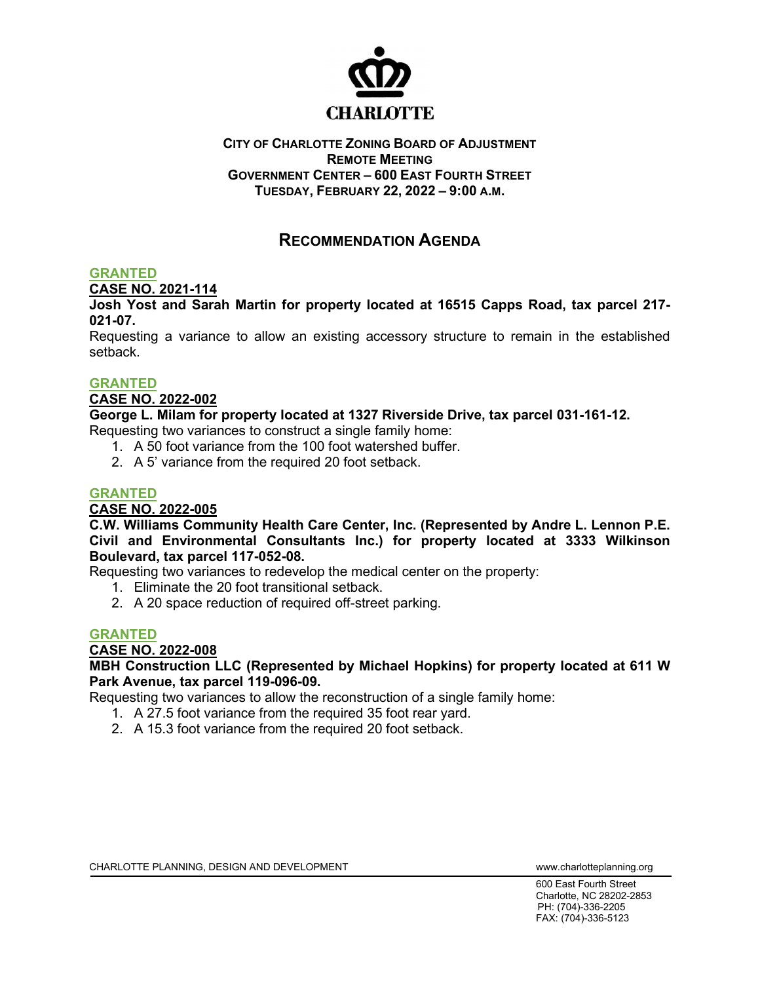

### **CITY OF CHARLOTTE ZONING BOARD OF ADJUSTMENT REMOTE MEETING GOVERNMENT CENTER – 600 EAST FOURTH STREET TUESDAY, FEBRUARY 22, 2022 – 9:00 A.M.**

# **RECOMMENDATION AGENDA**

## **GRANTED**

**CASE NO. 2021-114**

**Josh Yost and Sarah Martin for property located at 16515 Capps Road, tax parcel 217- 021-07.**

Requesting a variance to allow an existing accessory structure to remain in the established setback.

### **GRANTED**

**CASE NO. 2022-002**

**George L. Milam for property located at 1327 Riverside Drive, tax parcel 031-161-12.**

Requesting two variances to construct a single family home:

- 1. A 50 foot variance from the 100 foot watershed buffer.
- 2. A 5' variance from the required 20 foot setback.

# **GRANTED**

**CASE NO. 2022-005**

**C.W. Williams Community Health Care Center, Inc. (Represented by Andre L. Lennon P.E. Civil and Environmental Consultants Inc.) for property located at 3333 Wilkinson Boulevard, tax parcel 117-052-08.** 

Requesting two variances to redevelop the medical center on the property:

- 1. Eliminate the 20 foot transitional setback.
- 2. A 20 space reduction of required off-street parking.

### **GRANTED**

**CASE NO. 2022-008**

### **MBH Construction LLC (Represented by Michael Hopkins) for property located at 611 W Park Avenue, tax parcel 119-096-09.**

Requesting two variances to allow the reconstruction of a single family home:

- 1. A 27.5 foot variance from the required 35 foot rear yard.
- 2. A 15.3 foot variance from the required 20 foot setback.

600 East Fourth Street Charlotte, NC 28202-2853 PH: (704)-336-2205 FAX: (704)-336-5123